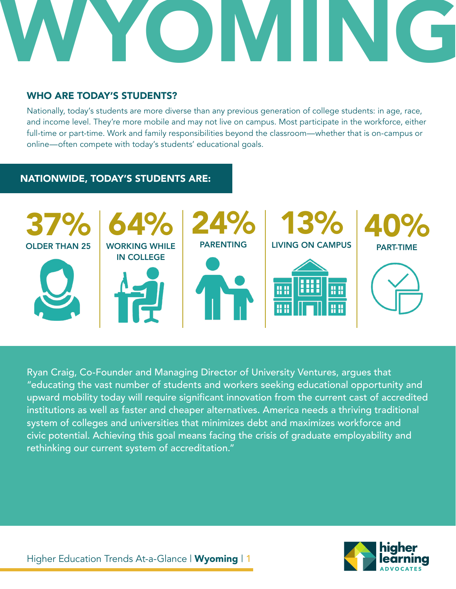

# WHO ARE TODAY'S STUDENTS?

Nationally, today's students are more diverse than any previous generation of college students: in age, race, and income level. They're more mobile and may not live on campus. Most participate in the workforce, either full-time or part-time. Work and family responsibilities beyond the classroom—whether that is on-campus or online—often compete with today's students' educational goals.

# NATIONWIDE, TODAY'S STUDENTS ARE:



Ryan Craig, Co-Founder and Managing Director of University Ventures, argues that "educating the vast number of students and workers seeking educational opportunity and upward mobility today will require significant innovation from the current cast of accredited institutions as well as faster and cheaper alternatives. America needs a thriving traditional system of colleges and universities that minimizes debt and maximizes workforce and civic potential. Achieving this goal means facing the crisis of graduate employability and rethinking our current system of accreditation."

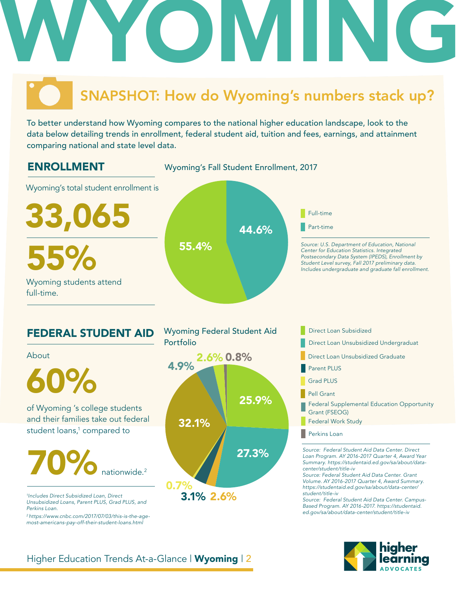# WYOMING

# SNAPSHOT: How do Wyoming's numbers stack up?

To better understand how Wyoming compares to the national higher education landscape, look to the data below detailing trends in enrollment, federal student aid, tuition and fees, earnings, and attainment comparing national and state level data.

# ENROLLMENT



- Parent PLUS
	- Grad PLUS
	- Pell Grant
	- Federal Supplemental Education Opportunity Grant (FSEOG)
- Federal Work Study
- Perkins Loan

*Source: Federal Student Aid Data Center. Direct Loan Program. AY 2016-2017 Quarter 4, Award Year Summary. https://studentaid.ed.gov/sa/about/datacenter/student/title-iv*

*Source: Federal Student Aid Data Center. Grant Volume. AY 2016-2017 Quarter 4, Award Summary. https://studentaid.ed.gov/sa/about/data-center/ student/title-iv*

*Source: Federal Student Aid Data Center. Campus-Based Program. AY 2016-2017. https://studentaid. ed.gov/sa/about/data-center/student/title-iv*



About

60%

and their families take out federal student loans,<sup>1</sup> compared to

70% nationwide. 2

*1 Includes Direct Subsidized Loan, Direct Unsubsidized Loans, Parent PLUS, Grad PLUS, and Perkins Loan.* 

*2 https://www.cnbc.com/2017/07/03/this-is-the-agemost-americans-pay-off-their-student-loans.html*

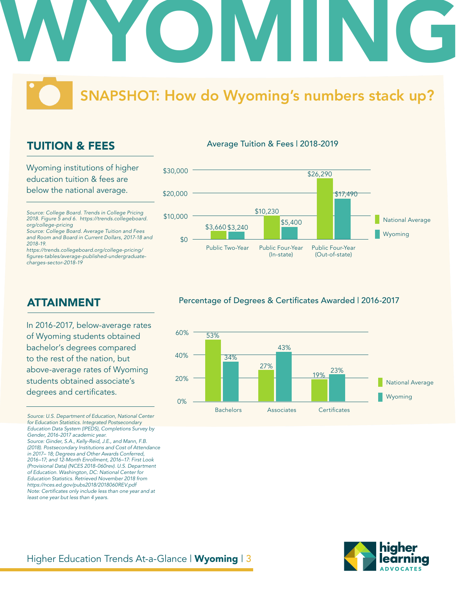

# SNAPSHOT: How do Wyoming's numbers stack up?

# TUITION & FEES

Wyoming institutions of higher education tuition & fees are below the national average.

*Source: College Board. Trends in College Pricing 2018. Figure 5 and 6. https://trends.collegeboard. org/college-pricing*

*Source: College Board. Average Tuition and Fees and Room and Board in Current Dollars, 2017-18 and 2018-19.*

*https://trends.collegeboard.org/college-pricing/* figures-tables/average-published-undergraduate*charges-sector-2018-19*

# Average Tuition & Fees | 2018-2019



# ATTAINMENT

In 2016-2017, below-average rates of Wyoming students obtained bachelor's degrees compared to the rest of the nation, but above-average rates of Wyoming students obtained associate's degrees and certificates.

*Source: U.S. Department of Education, National Center for Education Statistics. Integrated Postsecondary Education Data System (IPEDS), Completions Survey by Gender, 2016-2017 academic year. Source: Ginder, S.A., Kelly-Reid, J.E., and Mann, F.B. (2018). Postsecondary Institutions and Cost of Attendance in 2017– 18; Degrees and Other Awards Conferred, 2016–17; and 12-Month Enrollment, 2016–17: First Look (Provisional Data) (NCES 2018-060rev). U.S. Department of Education. Washington, DC: National Center for Education Statistics. Retrieved November 2018 from https://nces.ed.gov/pubs2018/2018060REV.pdf* Note: Certificates only include less than one year and at *least one year but less than 4 years.* 

# Percentage of Degrees & Certificates Awarded | 2016-2017



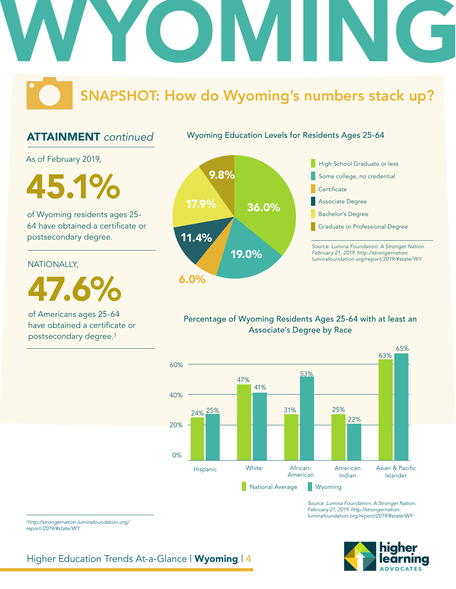# WYOMING

# SNAPSHOT: How do Wyoming's numbers stack up?

Wyoming Education Levels for Residents Ages 25-64

# ATTAINMENT *continued*

As of February 2019,

**45.1%** 2.8%

of Wyoming residents ages 25- 64 have obtained a certificate or postsecondary degree.

# NATIONALLY,

47.6%

of Americans ages 25-64 have obtained a certificate or postsecondary degree.3





# Percentage of Wyoming Residents Ages 25-64 with at least an Associate's Degree by Race



*Source: Lumina Foundation. A Stronger Nation. February 21, 2019. http://strongernation. luminafoundation.org/report/2019/#state/WY*



### <sup>3</sup>*http://strongernation.luminafoundation.org/ report/2019/#state/WY*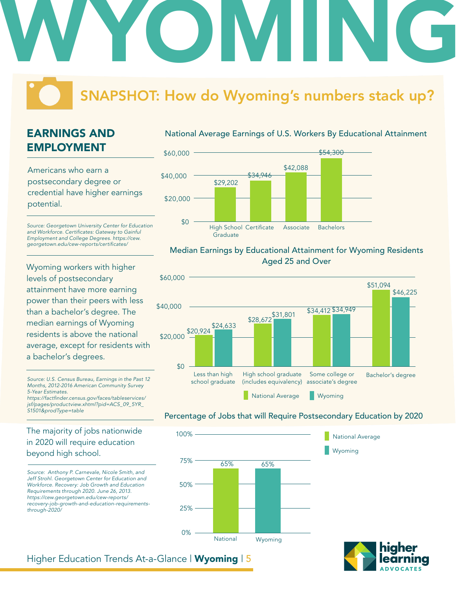# SNAPSHOT: How do Wyoming's numbers stack up?

WYOMING

# EARNINGS AND EMPLOYMENT

Americans who earn a postsecondary degree or credential have higher earnings potential.

*Source: Georgetown University Center for Education*  and Workforce. Certificates: Gateway to Gainful *Employment and College Degrees. https://cew.* georgetown.edu/cew-reports/certificates/

Wyoming workers with higher levels of postsecondary attainment have more earning power than their peers with less than a bachelor's degree. The median earnings of Wyoming residents is above the national average, except for residents with a bachelor's degrees.

*Source: U.S. Census Bureau, Earnings in the Past 12 Months, 2012-2016 American Community Survey 5-Year Estimates.* https://factfinder.census.gov/faces/tableservices/ *jsf/pages/productview.xhtml?pid=ACS\_09\_5YR\_*

*S1501&prodType=table*

# The majority of jobs nationwide in 2020 will require education beyond high school.

*Source: Anthony P. Carnevale, Nicole Smith, and Jeff Strohl. Georgetown Center for Education and Workforce. Recovery: Job Growth and Education Requirements through 2020. June 26, 2013. https://cew.georgetown.edu/cew-reports/ recovery-job-growth-and-education-requirementsthrough-2020/*

# National Average Earnings of U.S. Workers By Educational Attainment



## Median Earnings by Educational Attainment for Wyoming Residents Aged 25 and Over



### Percentage of Jobs that will Require Postsecondary Education by 2020

Wyoming

National Average